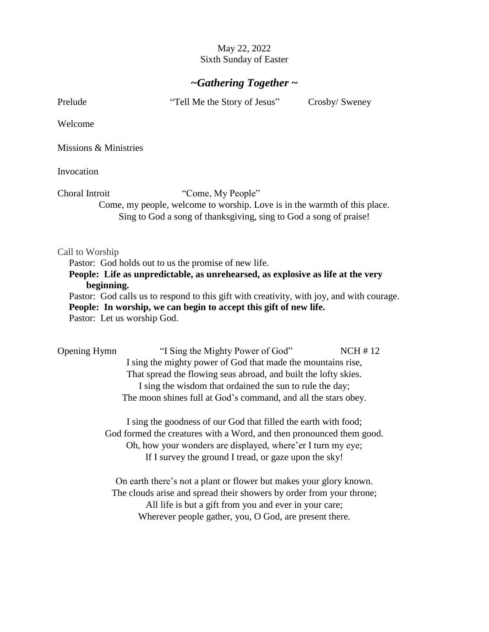## May 22, 2022 Sixth Sunday of Easter

## *~Gathering Together ~*

Prelude "Tell Me the Story of Jesus" Crosby/ Sweney

Welcome

Missions & Ministries

Invocation

Choral Introit "Come, My People"

Come, my people, welcome to worship. Love is in the warmth of this place. Sing to God a song of thanksgiving, sing to God a song of praise!

#### Call to Worship

Pastor: God holds out to us the promise of new life.

### **People: Life as unpredictable, as unrehearsed, as explosive as life at the very beginning.**

Pastor: God calls us to respond to this gift with creativity, with joy, and with courage. **People: In worship, we can begin to accept this gift of new life.**  Pastor: Let us worship God.

Opening Hymn"I Sing the Mighty Power of God" NCH # 12 I sing the mighty power of God that made the mountains rise, That spread the flowing seas abroad, and built the lofty skies. I sing the wisdom that ordained the sun to rule the day; The moon shines full at God's command, and all the stars obey.

> I sing the goodness of our God that filled the earth with food; God formed the creatures with a Word, and then pronounced them good. Oh, how your wonders are displayed, where'er I turn my eye; If I survey the ground I tread, or gaze upon the sky!

On earth there's not a plant or flower but makes your glory known. The clouds arise and spread their showers by order from your throne; All life is but a gift from you and ever in your care; Wherever people gather, you, O God, are present there.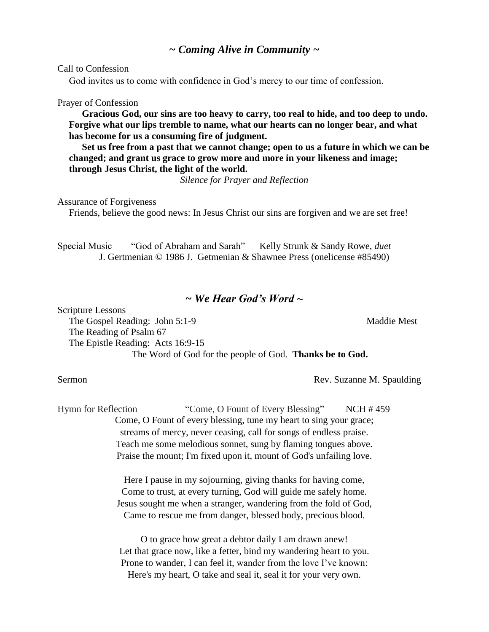Call to Confession

God invites us to come with confidence in God's mercy to our time of confession.

#### Prayer of Confession

 **Gracious God, our sins are too heavy to carry, too real to hide, and too deep to undo. Forgive what our lips tremble to name, what our hearts can no longer bear, and what has become for us a consuming fire of judgment.** 

 **Set us free from a past that we cannot change; open to us a future in which we can be changed; and grant us grace to grow more and more in your likeness and image; through Jesus Christ, the light of the world.** 

*Silence for Prayer and Reflection*

Assurance of Forgiveness

Friends, believe the good news: In Jesus Christ our sins are forgiven and we are set free!

Special Music "God of Abraham and Sarah" Kelly Strunk & Sandy Rowe, *duet* J. Gertmenian © 1986 J. Getmenian & Shawnee Press (onelicense #85490)

## *~ We Hear God's Word ~*

Scripture Lessons The Gospel Reading: John 5:1-9 Maddie Mest The Reading of Psalm 67 The Epistle Reading: Acts 16:9-15 The Word of God for the people of God. **Thanks be to God.**

#### Sermon Rev. Suzanne M. Spaulding

Hymn for Reflection "Come, O Fount of Every Blessing"NCH # 459 Come, O Fount of every blessing, tune my heart to sing your grace; streams of mercy, never ceasing, call for songs of endless praise. Teach me some melodious sonnet, sung by flaming tongues above. Praise the mount; I'm fixed upon it, mount of God's unfailing love.

> Here I pause in my sojourning, giving thanks for having come, Come to trust, at every turning, God will guide me safely home. Jesus sought me when a stranger, wandering from the fold of God, Came to rescue me from danger, blessed body, precious blood.

O to grace how great a debtor daily I am drawn anew! Let that grace now, like a fetter, bind my wandering heart to you. Prone to wander, I can feel it, wander from the love I've known: Here's my heart, O take and seal it, seal it for your very own.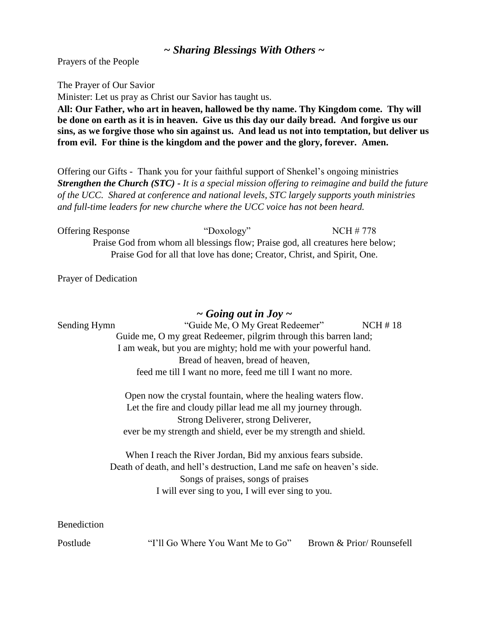# *~ Sharing Blessings With Others ~*

Prayers of the People

The Prayer of Our Savior

Minister: Let us pray as Christ our Savior has taught us.

**All: Our Father, who art in heaven, hallowed be thy name. Thy Kingdom come. Thy will be done on earth as it is in heaven. Give us this day our daily bread. And forgive us our sins, as we forgive those who sin against us. And lead us not into temptation, but deliver us from evil. For thine is the kingdom and the power and the glory, forever. Amen.**

Offering our Gifts - Thank you for your faithful support of Shenkel's ongoing ministries *Strengthen the Church (STC) - It is a special mission offering to reimagine and build the future of the UCC. Shared at conference and national levels, STC largely supports youth ministries and full-time leaders for new churche where the UCC voice has not been heard.* 

Offering Response "Doxology" NCH # 778 Praise God from whom all blessings flow; Praise god, all creatures here below; Praise God for all that love has done; Creator, Christ, and Spirit, One.

Prayer of Dedication

### *~ Going out in Joy ~*

| Sending Hymn | "Guide Me, O My Great Redeemer"                                        | NCH#18                   |  |
|--------------|------------------------------------------------------------------------|--------------------------|--|
|              | Guide me, O my great Redeemer, pilgrim through this barren land;       |                          |  |
|              | I am weak, but you are mighty; hold me with your powerful hand.        |                          |  |
|              | Bread of heaven, bread of heaven,                                      |                          |  |
|              | feed me till I want no more, feed me till I want no more.              |                          |  |
|              | Open now the crystal fountain, where the healing waters flow.          |                          |  |
|              | Let the fire and cloudy pillar lead me all my journey through.         |                          |  |
|              | Strong Deliverer, strong Deliverer,                                    |                          |  |
|              | ever be my strength and shield, ever be my strength and shield.        |                          |  |
|              | When I reach the River Jordan, Bid my anxious fears subside.           |                          |  |
|              | Death of death, and hell's destruction, Land me safe on heaven's side. |                          |  |
|              | Songs of praises, songs of praises                                     |                          |  |
|              | I will ever sing to you, I will ever sing to you.                      |                          |  |
| Benediction  |                                                                        |                          |  |
| Postlude     | "I'll Go Where You Want Me to Go"                                      | Brown & Prior/Rounsefell |  |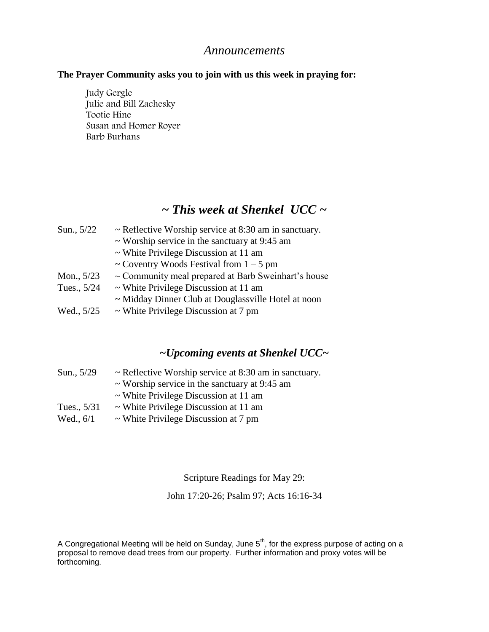## *Announcements*

### **The Prayer Community asks you to join with us this week in praying for:**

Judy Gergle Julie and Bill Zachesky Tootie Hine Susan and Homer Royer Barb Burhans

# *~ This week at Shenkel UCC ~*

| Sun., 5/22   | $\sim$ Reflective Worship service at 8:30 am in sanctuary. |  |
|--------------|------------------------------------------------------------|--|
|              | $\sim$ Worship service in the sanctuary at 9:45 am         |  |
|              | $\sim$ White Privilege Discussion at 11 am                 |  |
|              | ~ Coventry Woods Festival from $1 - 5$ pm                  |  |
| Mon., $5/23$ | $\sim$ Community meal prepared at Barb Sweinhart's house   |  |
| Tues., 5/24  | $\sim$ White Privilege Discussion at 11 am                 |  |
|              | ~ Midday Dinner Club at Douglassville Hotel at noon        |  |
| Wed., 5/25   | $\sim$ White Privilege Discussion at 7 pm                  |  |
|              |                                                            |  |

# *~Upcoming events at Shenkel UCC~*

| Sun., 5/29  | $\sim$ Reflective Worship service at 8:30 am in sanctuary. |
|-------------|------------------------------------------------------------|
|             | $\sim$ Worship service in the sanctuary at 9:45 am         |
|             | $\sim$ White Privilege Discussion at 11 am                 |
| Tues., 5/31 | $\sim$ White Privilege Discussion at 11 am                 |
| Wed., $6/1$ | $\sim$ White Privilege Discussion at 7 pm                  |

Scripture Readings for May 29:

John 17:20-26; Psalm 97; Acts 16:16-34

A Congregational Meeting will be held on Sunday, June 5<sup>th</sup>, for the express purpose of acting on a proposal to remove dead trees from our property. Further information and proxy votes will be forthcoming.